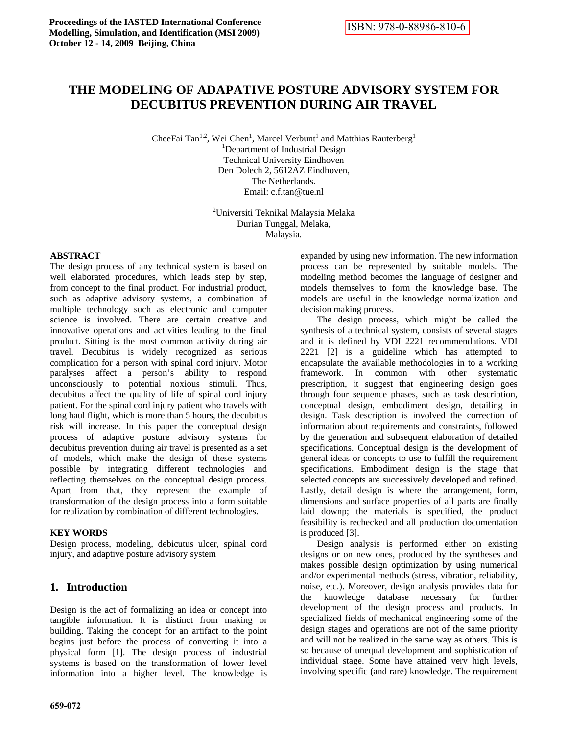# **THE MODELING OF ADAPATIVE POSTURE ADVISORY SYSTEM FOR DECUBITUS PREVENTION DURING AIR TRAVEL**

CheeFai Tan<sup>1,2</sup>, Wei Chen<sup>1</sup>, Marcel Verbunt<sup>1</sup> and Matthias Rauterberg<sup>1</sup> <sup>1</sup>Department of Industrial Design Technical University Eindhoven Den Dolech 2, 5612AZ Eindhoven, The Netherlands. Email: c.f.tan@tue.nl

> <sup>2</sup>Universiti Teknikal Malaysia Melaka Durian Tunggal, Melaka, Malaysia.

#### **ABSTRACT**

The design process of any technical system is based on well elaborated procedures, which leads step by step, from concept to the final product. For industrial product, such as adaptive advisory systems, a combination of multiple technology such as electronic and computer science is involved. There are certain creative and innovative operations and activities leading to the final product. Sitting is the most common activity during air travel. Decubitus is widely recognized as serious complication for a person with spinal cord injury. Motor paralyses affect a person's ability to respond unconsciously to potential noxious stimuli. Thus, decubitus affect the quality of life of spinal cord injury patient. For the spinal cord injury patient who travels with long haul flight, which is more than 5 hours, the decubitus risk will increase. In this paper the conceptual design process of adaptive posture advisory systems for decubitus prevention during air travel is presented as a set of models, which make the design of these systems possible by integrating different technologies and reflecting themselves on the conceptual design process. Apart from that, they represent the example of transformation of the design process into a form suitable for realization by combination of different technologies.

## **KEY WORDS**

Design process, modeling, debicutus ulcer, spinal cord injury, and adaptive posture advisory system

# **1. Introduction**

Design is the act of formalizing an idea or concept into tangible information. It is distinct from making or building. Taking the concept for an artifact to the point begins just before the process of converting it into a physical form [1]. The design process of industrial systems is based on the transformation of lower level information into a higher level. The knowledge is

expanded by using new information. The new information process can be represented by suitable models. The modeling method becomes the language of designer and models themselves to form the knowledge base. The models are useful in the knowledge normalization and decision making process.

 The design process, which might be called the synthesis of a technical system, consists of several stages and it is defined by VDI 2221 recommendations. VDI 2221 [2] is a guideline which has attempted to encapsulate the available methodologies in to a working framework. In common with other systematic prescription, it suggest that engineering design goes through four sequence phases, such as task description, conceptual design, embodiment design, detailing in design. Task description is involved the correction of information about requirements and constraints, followed by the generation and subsequent elaboration of detailed specifications. Conceptual design is the development of general ideas or concepts to use to fulfill the requirement specifications. Embodiment design is the stage that selected concepts are successively developed and refined. Lastly, detail design is where the arrangement, form, dimensions and surface properties of all parts are finally laid downp; the materials is specified, the product feasibility is rechecked and all production documentation is produced [3].

 Design analysis is performed either on existing designs or on new ones, produced by the syntheses and makes possible design optimization by using numerical and/or experimental methods (stress, vibration, reliability, noise, etc.). Moreover, design analysis provides data for the knowledge database necessary for further development of the design process and products. In specialized fields of mechanical engineering some of the design stages and operations are not of the same priority and will not be realized in the same way as others. This is so because of unequal development and sophistication of individual stage. Some have attained very high levels, involving specific (and rare) knowledge. The requirement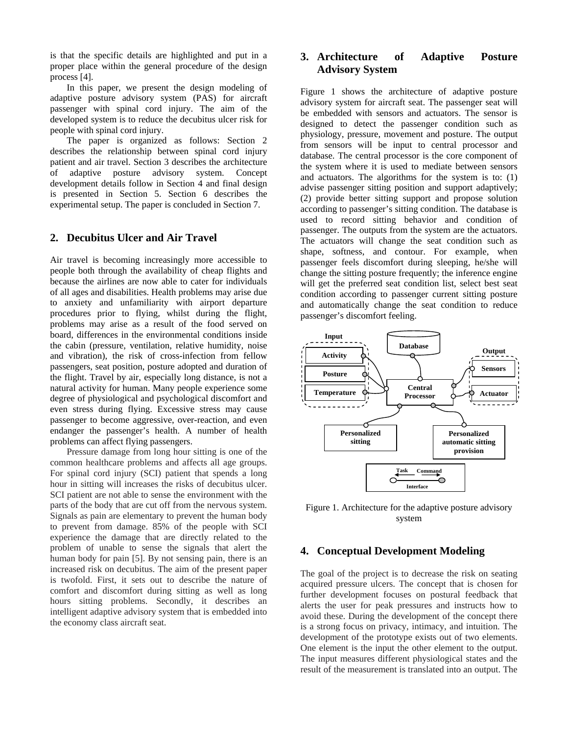is that the specific details are highlighted and put in a proper place within the general procedure of the design process [4].

 In this paper, we present the design modeling of adaptive posture advisory system (PAS) for aircraft passenger with spinal cord injury. The aim of the developed system is to reduce the decubitus ulcer risk for people with spinal cord injury.

 The paper is organized as follows: Section 2 describes the relationship between spinal cord injury patient and air travel. Section 3 describes the architecture of adaptive posture advisory system. Concept development details follow in Section 4 and final design is presented in Section 5. Section 6 describes the experimental setup. The paper is concluded in Section 7.

## **2. Decubitus Ulcer and Air Travel**

Air travel is becoming increasingly more accessible to people both through the availability of cheap flights and because the airlines are now able to cater for individuals of all ages and disabilities. Health problems may arise due to anxiety and unfamiliarity with airport departure procedures prior to flying, whilst during the flight, problems may arise as a result of the food served on board, differences in the environmental conditions inside the cabin (pressure, ventilation, relative humidity, noise and vibration), the risk of cross-infection from fellow passengers, seat position, posture adopted and duration of the flight. Travel by air, especially long distance, is not a natural activity for human. Many people experience some degree of physiological and psychological discomfort and even stress during flying. Excessive stress may cause passenger to become aggressive, over-reaction, and even endanger the passenger's health. A number of health problems can affect flying passengers.

 Pressure damage from long hour sitting is one of the common healthcare problems and affects all age groups. For spinal cord injury (SCI) patient that spends a long hour in sitting will increases the risks of decubitus ulcer. SCI patient are not able to sense the environment with the parts of the body that are cut off from the nervous system. Signals as pain are elementary to prevent the human body to prevent from damage. 85% of the people with SCI experience the damage that are directly related to the problem of unable to sense the signals that alert the human body for pain [5]. By not sensing pain, there is an increased risk on decubitus. The aim of the present paper is twofold. First, it sets out to describe the nature of comfort and discomfort during sitting as well as long hours sitting problems. Secondly, it describes an intelligent adaptive advisory system that is embedded into the economy class aircraft seat.

# **3. Architecture of Adaptive Posture Advisory System**

Figure 1 shows the architecture of adaptive posture advisory system for aircraft seat. The passenger seat will be embedded with sensors and actuators. The sensor is designed to detect the passenger condition such as physiology, pressure, movement and posture. The output from sensors will be input to central processor and database. The central processor is the core component of the system where it is used to mediate between sensors and actuators. The algorithms for the system is to: (1) advise passenger sitting position and support adaptively; (2) provide better sitting support and propose solution according to passenger's sitting condition. The database is used to record sitting behavior and condition of passenger. The outputs from the system are the actuators. The actuators will change the seat condition such as shape, softness, and contour. For example, when passenger feels discomfort during sleeping, he/she will change the sitting posture frequently; the inference engine will get the preferred seat condition list, select best seat condition according to passenger current sitting posture and automatically change the seat condition to reduce passenger's discomfort feeling.



Figure 1. Architecture for the adaptive posture advisory system

## **4. Conceptual Development Modeling**

The goal of the project is to decrease the risk on seating acquired pressure ulcers. The concept that is chosen for further development focuses on postural feedback that alerts the user for peak pressures and instructs how to avoid these. During the development of the concept there is a strong focus on privacy, intimacy, and intuition. The development of the prototype exists out of two elements. One element is the input the other element to the output. The input measures different physiological states and the result of the measurement is translated into an output. The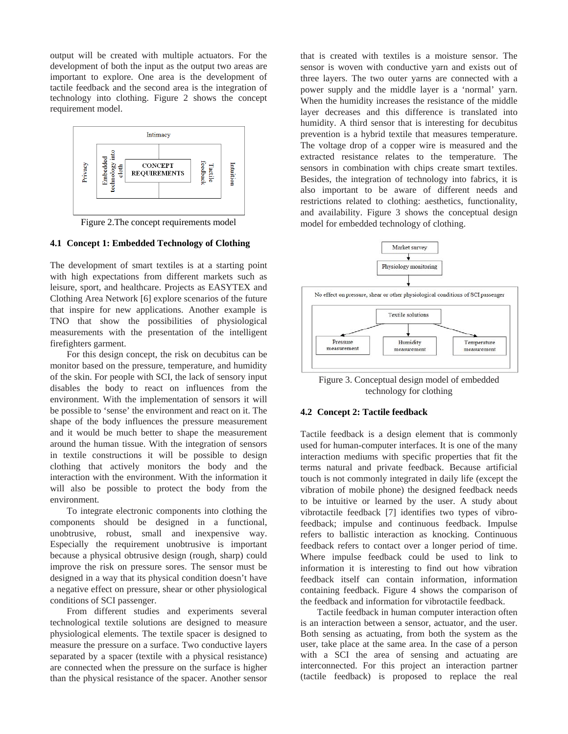output will be created with multiple actuators. For the development of both the input as the output two areas are important to explore. One area is the development of tactile feedback and the second area is the integration of technology into clothing. Figure 2 shows the concept requirement model.



Figure 2.The concept requirements model

#### **4.1 Concept 1: Embedded Technology of Clothing**

The development of smart textiles is at a starting point with high expectations from different markets such as leisure, sport, and healthcare. Projects as EASYTEX and Clothing Area Network [6] explore scenarios of the future that inspire for new applications. Another example is TNO that show the possibilities of physiological measurements with the presentation of the intelligent firefighters garment.

 For this design concept, the risk on decubitus can be monitor based on the pressure, temperature, and humidity of the skin. For people with SCI, the lack of sensory input disables the body to react on influences from the environment. With the implementation of sensors it will be possible to 'sense' the environment and react on it. The shape of the body influences the pressure measurement and it would be much better to shape the measurement around the human tissue. With the integration of sensors in textile constructions it will be possible to design clothing that actively monitors the body and the interaction with the environment. With the information it will also be possible to protect the body from the environment.

 To integrate electronic components into clothing the components should be designed in a functional, unobtrusive, robust, small and inexpensive way. Especially the requirement unobtrusive is important because a physical obtrusive design (rough, sharp) could improve the risk on pressure sores. The sensor must be designed in a way that its physical condition doesn't have a negative effect on pressure, shear or other physiological conditions of SCI passenger.

 From different studies and experiments several technological textile solutions are designed to measure physiological elements. The textile spacer is designed to measure the pressure on a surface. Two conductive layers separated by a spacer (textile with a physical resistance) are connected when the pressure on the surface is higher than the physical resistance of the spacer. Another sensor

that is created with textiles is a moisture sensor. The sensor is woven with conductive yarn and exists out of three layers. The two outer yarns are connected with a power supply and the middle layer is a 'normal' yarn. When the humidity increases the resistance of the middle layer decreases and this difference is translated into humidity. A third sensor that is interesting for decubitus prevention is a hybrid textile that measures temperature. The voltage drop of a copper wire is measured and the extracted resistance relates to the temperature. The sensors in combination with chips create smart textiles. Besides, the integration of technology into fabrics, it is also important to be aware of different needs and restrictions related to clothing: aesthetics, functionality, and availability. Figure 3 shows the conceptual design model for embedded technology of clothing.



Figure 3. Conceptual design model of embedded technology for clothing

#### **4.2 Concept 2: Tactile feedback**

Tactile feedback is a design element that is commonly used for human-computer interfaces. It is one of the many interaction mediums with specific properties that fit the terms natural and private feedback. Because artificial touch is not commonly integrated in daily life (except the vibration of mobile phone) the designed feedback needs to be intuitive or learned by the user. A study about vibrotactile feedback [7] identifies two types of vibrofeedback; impulse and continuous feedback. Impulse refers to ballistic interaction as knocking. Continuous feedback refers to contact over a longer period of time. Where impulse feedback could be used to link to information it is interesting to find out how vibration feedback itself can contain information, information containing feedback. Figure 4 shows the comparison of the feedback and information for vibrotactile feedback.

 Tactile feedback in human computer interaction often is an interaction between a sensor, actuator, and the user. Both sensing as actuating, from both the system as the user, take place at the same area. In the case of a person with a SCI the area of sensing and actuating are interconnected. For this project an interaction partner (tactile feedback) is proposed to replace the real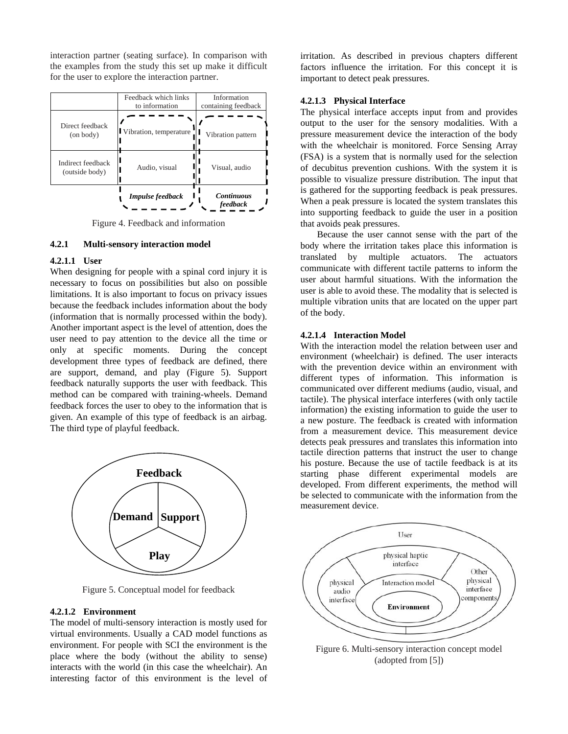interaction partner (seating surface). In comparison with the examples from the study this set up make it difficult for the user to explore the interaction partner.

|                                     | Feedback which links<br>to information | Information<br>containing feedback |
|-------------------------------------|----------------------------------------|------------------------------------|
| Direct feedback<br>(on body)        | Vibration, temperature                 | Vibration pattern                  |
| Indirect feedback<br>(outside body) | Audio, visual                          | Visual, audio                      |
|                                     | <b>Impulse feedback</b>                | <b>Continuous</b><br>feedback      |

Figure 4. Feedback and information

#### **4.2.1 Multi-sensory interaction model**

#### **4.2.1.1 User**

When designing for people with a spinal cord injury it is necessary to focus on possibilities but also on possible limitations. It is also important to focus on privacy issues because the feedback includes information about the body (information that is normally processed within the body). Another important aspect is the level of attention, does the user need to pay attention to the device all the time or only at specific moments. During the concept development three types of feedback are defined, there are support, demand, and play (Figure 5). Support feedback naturally supports the user with feedback. This method can be compared with training-wheels. Demand feedback forces the user to obey to the information that is given. An example of this type of feedback is an airbag. The third type of playful feedback.



Figure 5. Conceptual model for feedback

#### **4.2.1.2 Environment**

The model of multi-sensory interaction is mostly used for virtual environments. Usually a CAD model functions as environment. For people with SCI the environment is the place where the body (without the ability to sense) interacts with the world (in this case the wheelchair). An interesting factor of this environment is the level of irritation. As described in previous chapters different factors influence the irritation. For this concept it is important to detect peak pressures.

# **4.2.1.3 Physical Interface**

The physical interface accepts input from and provides output to the user for the sensory modalities. With a pressure measurement device the interaction of the body with the wheelchair is monitored. Force Sensing Array (FSA) is a system that is normally used for the selection of decubitus prevention cushions. With the system it is possible to visualize pressure distribution. The input that is gathered for the supporting feedback is peak pressures. When a peak pressure is located the system translates this into supporting feedback to guide the user in a position that avoids peak pressures.

 Because the user cannot sense with the part of the body where the irritation takes place this information is translated by multiple actuators. The actuators communicate with different tactile patterns to inform the user about harmful situations. With the information the user is able to avoid these. The modality that is selected is multiple vibration units that are located on the upper part of the body.

#### **4.2.1.4 Interaction Model**

With the interaction model the relation between user and environment (wheelchair) is defined. The user interacts with the prevention device within an environment with different types of information. This information is communicated over different mediums (audio, visual, and tactile). The physical interface interferes (with only tactile information) the existing information to guide the user to a new posture. The feedback is created with information from a measurement device. This measurement device detects peak pressures and translates this information into tactile direction patterns that instruct the user to change his posture. Because the use of tactile feedback is at its starting phase different experimental models are developed. From different experiments, the method will be selected to communicate with the information from the measurement device.



Figure 6. Multi-sensory interaction concept model (adopted from [5])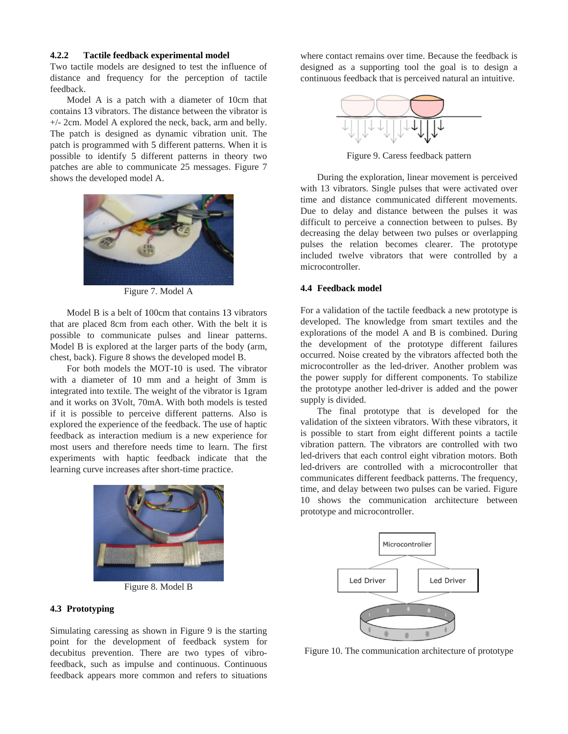#### **4.2.2 Tactile feedback experimental model**

Two tactile models are designed to test the influence of distance and frequency for the perception of tactile feedback.

 Model A is a patch with a diameter of 10cm that contains 13 vibrators. The distance between the vibrator is +/- 2cm. Model A explored the neck, back, arm and belly. The patch is designed as dynamic vibration unit. The patch is programmed with 5 different patterns. When it is possible to identify 5 different patterns in theory two patches are able to communicate 25 messages. Figure 7 shows the developed model A.



Figure 7. Model A

 Model B is a belt of 100cm that contains 13 vibrators that are placed 8cm from each other. With the belt it is possible to communicate pulses and linear patterns. Model B is explored at the larger parts of the body (arm, chest, back). Figure 8 shows the developed model B.

 For both models the MOT-10 is used. The vibrator with a diameter of 10 mm and a height of 3mm is integrated into textile. The weight of the vibrator is 1gram and it works on 3Volt, 70mA. With both models is tested if it is possible to perceive different patterns. Also is explored the experience of the feedback. The use of haptic feedback as interaction medium is a new experience for most users and therefore needs time to learn. The first experiments with haptic feedback indicate that the learning curve increases after short-time practice.



Figure 8. Model B

#### **4.3 Prototyping**

Simulating caressing as shown in Figure 9 is the starting point for the development of feedback system for decubitus prevention. There are two types of vibrofeedback, such as impulse and continuous. Continuous feedback appears more common and refers to situations

where contact remains over time. Because the feedback is designed as a supporting tool the goal is to design a continuous feedback that is perceived natural an intuitive.



Figure 9. Caress feedback pattern

 During the exploration, linear movement is perceived with 13 vibrators. Single pulses that were activated over time and distance communicated different movements. Due to delay and distance between the pulses it was difficult to perceive a connection between to pulses. By decreasing the delay between two pulses or overlapping pulses the relation becomes clearer. The prototype included twelve vibrators that were controlled by a microcontroller.

#### **4.4 Feedback model**

For a validation of the tactile feedback a new prototype is developed. The knowledge from smart textiles and the explorations of the model A and B is combined. During the development of the prototype different failures occurred. Noise created by the vibrators affected both the microcontroller as the led-driver. Another problem was the power supply for different components. To stabilize the prototype another led-driver is added and the power supply is divided.

 The final prototype that is developed for the validation of the sixteen vibrators. With these vibrators, it is possible to start from eight different points a tactile vibration pattern. The vibrators are controlled with two led-drivers that each control eight vibration motors. Both led-drivers are controlled with a microcontroller that communicates different feedback patterns. The frequency, time, and delay between two pulses can be varied. Figure 10 shows the communication architecture between prototype and microcontroller.



Figure 10. The communication architecture of prototype